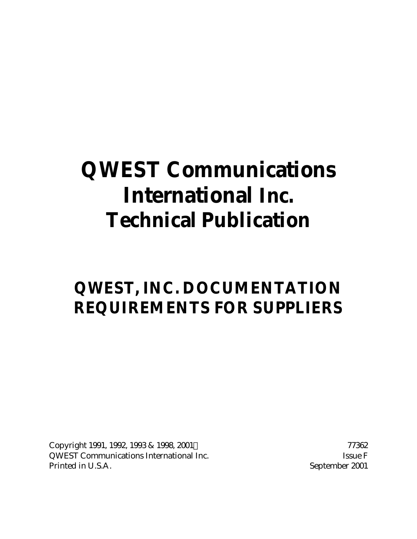# **QWEST Communications International Inc. Technical Publication**

# **QWEST, INC. DOCUMENTATION REQUIREMENTS FOR SUPPLIERS**

Copyright 1991, 1992, 1993 & 1998, 2001 © 77362 QWEST Communications International Inc. Some Issue F Printed in U.S.A. September 2001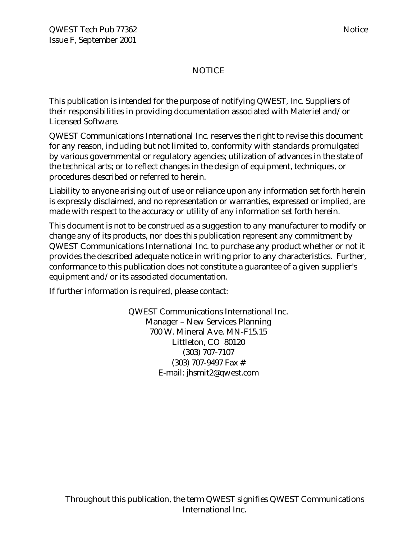# NOTICE

This publication is intended for the purpose of notifying QWEST, Inc. Suppliers of their responsibilities in providing documentation associated with Materiel and/or Licensed Software.

QWEST Communications International Inc. reserves the right to revise this document for any reason, including but not limited to, conformity with standards promulgated by various governmental or regulatory agencies; utilization of advances in the state of the technical arts; or to reflect changes in the design of equipment, techniques, or procedures described or referred to herein.

Liability to anyone arising out of use or reliance upon any information set forth herein is expressly disclaimed, and no representation or warranties, expressed or implied, are made with respect to the accuracy or utility of any information set forth herein.

This document is not to be construed as a suggestion to any manufacturer to modify or change any of its products, nor does this publication represent any commitment by QWEST Communications International Inc. to purchase any product whether or not it provides the described adequate notice in writing prior to any characteristics. Further, conformance to this publication does not constitute a guarantee of a given supplier's equipment and/or its associated documentation.

If further information is required, please contact:

QWEST Communications International Inc. Manager – New Services Planning 700 W. Mineral Ave. MN-F15.15 Littleton, CO 80120 (303) 707-7107 (303) 707-9497 Fax # E-mail: jhsmit2@qwest.com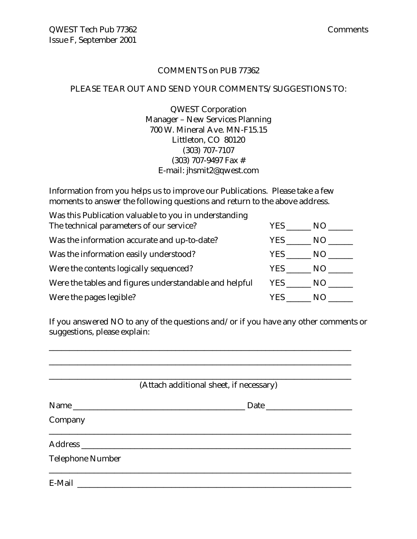#### COMMENTS on PUB 77362

#### PLEASE TEAR OUT AND SEND YOUR COMMENTS/SUGGESTIONS TO:

QWEST Corporation Manager – New Services Planning 700 W. Mineral Ave. MN-F15.15 Littleton, CO 80120 (303) 707-7107 (303) 707-9497 Fax # E-mail: jhsmit2@qwest.com

Information from you helps us to improve our Publications. Please take a few moments to answer the following questions and return to the above address.

| Was this Publication valuable to you in understanding  |        |     |
|--------------------------------------------------------|--------|-----|
| The technical parameters of our service?               | YES.   | NO. |
| Was the information accurate and up-to-date?           | YES.   | NO. |
| Was the information easily understood?                 | YES    | NO. |
| Were the contents logically sequenced?                 | YES    | NO. |
| Were the tables and figures understandable and helpful | YES NO |     |
| Were the pages legible?                                | YES    | N() |

If you answered NO to any of the questions and/or if you have any other comments or suggestions, please explain:

\_\_\_\_\_\_\_\_\_\_\_\_\_\_\_\_\_\_\_\_\_\_\_\_\_\_\_\_\_\_\_\_\_\_\_\_\_\_\_\_\_\_\_\_\_\_\_\_\_\_\_\_\_\_\_\_\_\_\_\_\_\_\_\_\_\_\_\_\_\_\_\_\_\_

|                         | (Attach additional sheet, if necessary) |
|-------------------------|-----------------------------------------|
| Name                    | Date                                    |
| Company                 |                                         |
|                         |                                         |
| <b>Telephone Number</b> |                                         |
|                         |                                         |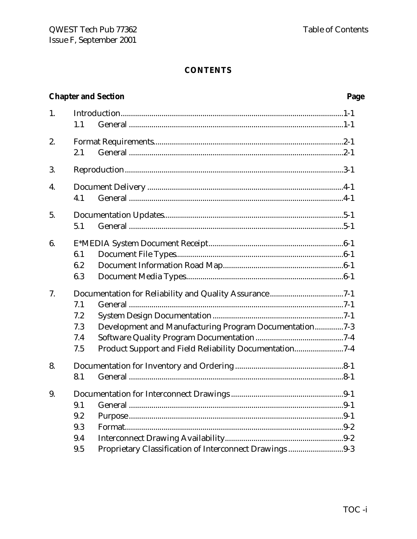#### **CONTENTS**

#### **Chapter and Section** Page  $\mathbf{1}$ .  $1.1$  $2<sub>1</sub>$  $2.1$ 3.  $\overline{4}$ .  $4.1$  $5<sub>1</sub>$  $5.1$  $6<sup>1</sup>$  $6.1$ 6.2 6.3  $7<sub>1</sub>$  $7.1$  $7.2$ 7.3 Development and Manufacturing Program Documentation...............7-3  $7.4$  $7.5$ Product Support and Field Reliability Documentation...........................7-4 8.  $8.1$ 9.  $9.1$  $9.2$ 9.3  $9.4$ 9.5 Proprietary Classification of Interconnect Drawings.............................9-3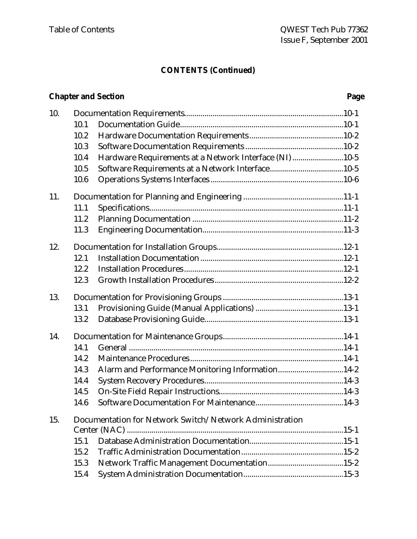# **CONTENTS (Continued)**

# **Chapter and Section Page**

| 10. |      |                                                         |
|-----|------|---------------------------------------------------------|
|     | 10.1 |                                                         |
|     | 10.2 |                                                         |
|     | 10.3 |                                                         |
|     | 10.4 | Hardware Requirements at a Network Interface (NI)10-5   |
|     | 10.5 |                                                         |
|     | 10.6 |                                                         |
| 11. |      |                                                         |
|     | 11.1 |                                                         |
|     | 11.2 |                                                         |
|     | 11.3 |                                                         |
| 12. |      |                                                         |
|     | 12.1 |                                                         |
|     | 12.2 |                                                         |
|     | 12.3 |                                                         |
| 13. |      |                                                         |
|     | 13.1 |                                                         |
|     | 13.2 |                                                         |
| 14. |      |                                                         |
|     | 14.1 |                                                         |
|     | 14.2 |                                                         |
|     | 14.3 | Alarm and Performance Monitoring Information14-2        |
|     | 14.4 |                                                         |
|     | 14.5 |                                                         |
|     | 14.6 |                                                         |
| 15. |      | Documentation for Network Switch/Network Administration |
|     |      |                                                         |
|     | 15.1 |                                                         |
|     | 15.2 |                                                         |
|     | 15.3 |                                                         |
|     | 15.4 |                                                         |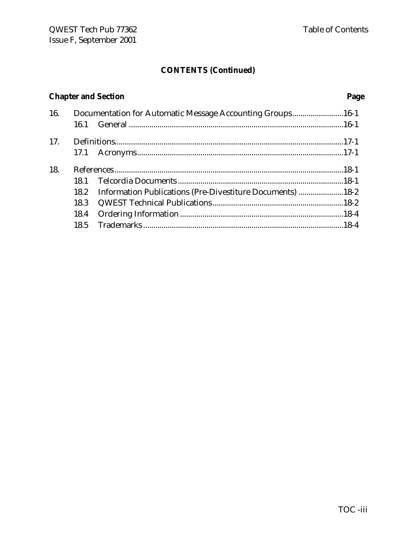# **CONTENTS (Continued)**

# **Chapter and Section Page**

| 16. | Documentation for Automatic Message Accounting Groups16-1      |  |
|-----|----------------------------------------------------------------|--|
|     |                                                                |  |
| 17. |                                                                |  |
|     |                                                                |  |
| 18. |                                                                |  |
|     |                                                                |  |
|     | 18.2 Information Publications (Pre-Divestiture Documents) 18-2 |  |
|     |                                                                |  |
|     |                                                                |  |
|     |                                                                |  |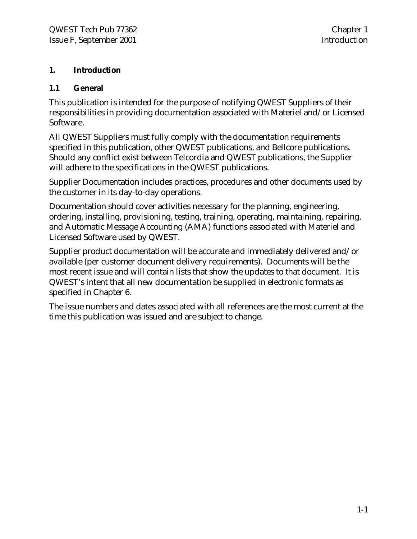# **1. Introduction**

# **1.1 General**

This publication is intended for the purpose of notifying QWEST Suppliers of their responsibilities in providing documentation associated with Materiel and/or Licensed Software.

All QWEST Suppliers must fully comply with the documentation requirements specified in this publication, other QWEST publications, and Bellcore publications. Should any conflict exist between Telcordia and QWEST publications, the Supplier will adhere to the specifications in the QWEST publications.

Supplier Documentation includes practices, procedures and other documents used by the customer in its day-to-day operations.

Documentation should cover activities necessary for the planning, engineering, ordering, installing, provisioning, testing, training, operating, maintaining, repairing, and Automatic Message Accounting (AMA) functions associated with Materiel and Licensed Software used by QWEST.

Supplier product documentation will be accurate and immediately delivered and/or available (per customer document delivery requirements). Documents will be the most recent issue and will contain lists that show the updates to that document. It is QWEST's intent that all new documentation be supplied in electronic formats as specified in Chapter 6.

The issue numbers and dates associated with all references are the most current at the time this publication was issued and are subject to change.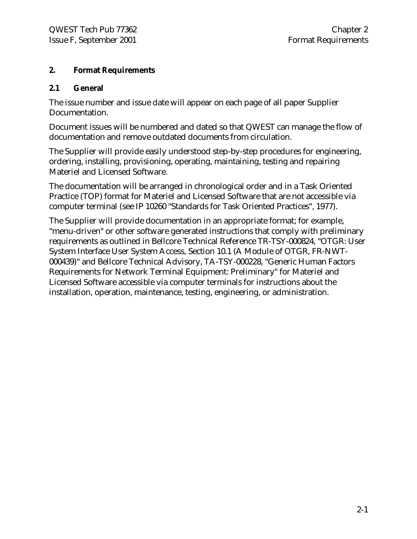# **2. Format Requirements**

# **2.1 General**

The issue number and issue date will appear on each page of all paper Supplier Documentation.

Document issues will be numbered and dated so that QWEST can manage the flow of documentation and remove outdated documents from circulation.

The Supplier will provide easily understood step-by-step procedures for engineering, ordering, installing, provisioning, operating, maintaining, testing and repairing Materiel and Licensed Software.

The documentation will be arranged in chronological order and in a Task Oriented Practice (TOP) format for Materiel and Licensed Software that are not accessible via computer terminal (see IP 10260 "Standards for Task Oriented Practices", 1977).

The Supplier will provide documentation in an appropriate format; for example, "menu-driven" or other software generated instructions that comply with preliminary requirements as outlined in Bellcore Technical Reference TR-TSY-000824, "OTGR: User System Interface User System Access, Section 10.1 (A Module of OTGR, FR-NWT-000439)" and Bellcore Technical Advisory, TA-TSY-000228, "Generic Human Factors Requirements for Network Terminal Equipment: Preliminary" for Materiel and Licensed Software accessible via computer terminals for instructions about the installation, operation, maintenance, testing, engineering, or administration.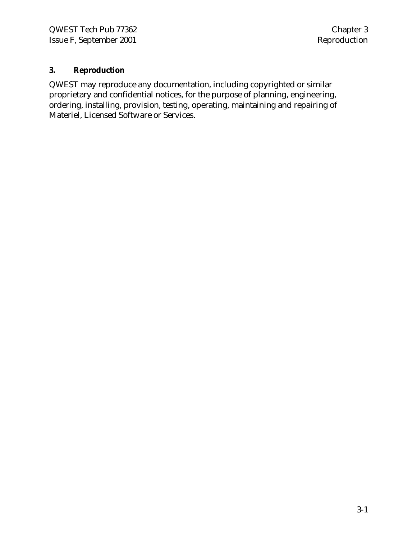# **3. Reproduction**

QWEST may reproduce any documentation, including copyrighted or similar proprietary and confidential notices, for the purpose of planning, engineering, ordering, installing, provision, testing, operating, maintaining and repairing of Materiel, Licensed Software or Services.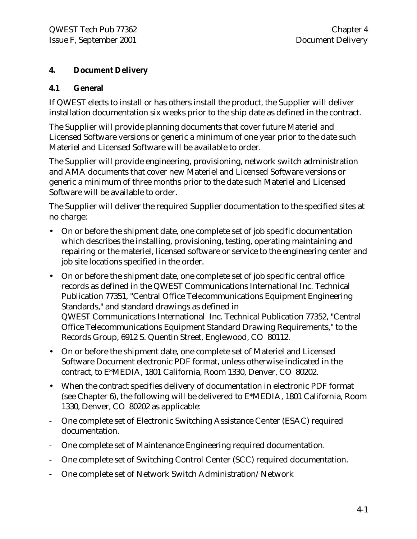# **4. Document Delivery**

# **4.1 General**

If QWEST elects to install or has others install the product, the Supplier will deliver installation documentation six weeks prior to the ship date as defined in the contract.

The Supplier will provide planning documents that cover future Materiel and Licensed Software versions or generic a minimum of one year prior to the date such Materiel and Licensed Software will be available to order.

The Supplier will provide engineering, provisioning, network switch administration and AMA documents that cover new Materiel and Licensed Software versions or generic a minimum of three months prior to the date such Materiel and Licensed Software will be available to order.

The Supplier will deliver the required Supplier documentation to the specified sites at no charge:

- On or before the shipment date, one complete set of job specific documentation which describes the installing, provisioning, testing, operating maintaining and repairing or the materiel, licensed software or service to the engineering center and job site locations specified in the order.
- On or before the shipment date, one complete set of job specific central office records as defined in the QWEST Communications International Inc. Technical Publication 77351, "Central Office Telecommunications Equipment Engineering Standards," and standard drawings as defined in QWEST Communications International Inc. Technical Publication 77352, "Central Office Telecommunications Equipment Standard Drawing Requirements," to the Records Group, 6912 S. Quentin Street, Englewood, CO 80112.
- On or before the shipment date, one complete set of Materiel and Licensed Software Document electronic PDF format, unless otherwise indicated in the contract, to E\*MEDIA, 1801 California, Room 1330, Denver, CO 80202.
- When the contract specifies delivery of documentation in electronic PDF format (see Chapter 6), the following will be delivered to E\*MEDIA, 1801 California, Room 1330, Denver, CO 80202 as applicable:
- One complete set of Electronic Switching Assistance Center (ESAC) required documentation.
- One complete set of Maintenance Engineering required documentation.
- One complete set of Switching Control Center (SCC) required documentation.
- One complete set of Network Switch Administration/Network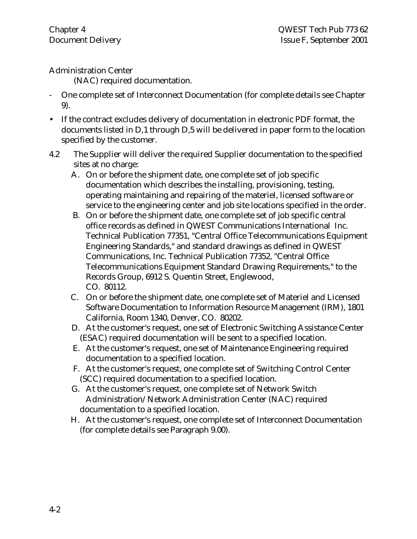# Administration Center

(NAC) required documentation.

- One complete set of Interconnect Documentation (for complete details see Chapter 9).
- If the contract excludes delivery of documentation in electronic PDF format, the documents listed in D,1 through D,5 will be delivered in paper form to the location specified by the customer.
- 4.2 The Supplier will deliver the required Supplier documentation to the specified sites at no charge:
	- A. On or before the shipment date, one complete set of job specific documentation which describes the installing, provisioning, testing, operating maintaining and repairing of the materiel, licensed software or service to the engineering center and job site locations specified in the order.
	- B. On or before the shipment date, one complete set of job specific central office records as defined in QWEST Communications International Inc. Technical Publication 77351, "Central Office Telecommunications Equipment Engineering Standards," and standard drawings as defined in QWEST Communications, Inc. Technical Publication 77352, "Central Office Telecommunications Equipment Standard Drawing Requirements," to the Records Group, 6912 S. Quentin Street, Englewood, CO. 80112.
	- C. On or before the shipment date, one complete set of Materiel and Licensed Software Documentation to Information Resource Management (IRM), 1801 California, Room 1340, Denver, CO. 80202.
	- D. At the customer's request, one set of Electronic Switching Assistance Center (ESAC) required documentation will be sent to a specified location.
	- E. At the customer's request, one set of Maintenance Engineering required documentation to a specified location.
	- F. At the customer's request, one complete set of Switching Control Center (SCC) required documentation to a specified location.
	- G. At the customer's request, one complete set of Network Switch Administration/Network Administration Center (NAC) required documentation to a specified location.
	- H. At the customer's request, one complete set of Interconnect Documentation (for complete details see Paragraph 9.00).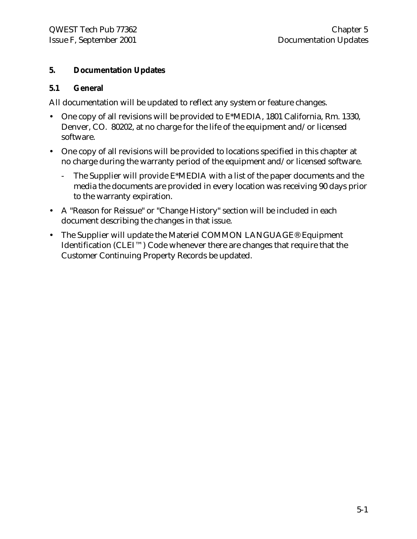# **5. Documentation Updates**

#### **5.1 General**

All documentation will be updated to reflect any system or feature changes.

- One copy of all revisions will be provided to E\*MEDIA, 1801 California, Rm. 1330, Denver, CO. 80202, at no charge for the life of the equipment and/or licensed software.
- One copy of all revisions will be provided to locations specified in this chapter at no charge during the warranty period of the equipment and/or licensed software.
	- The Supplier will provide E\*MEDIA with a list of the paper documents and the media the documents are provided in every location was receiving 90 days prior to the warranty expiration.
- A "Reason for Reissue" or "Change History" section will be included in each document describing the changes in that issue.
- The Supplier will update the Materiel COMMON LANGUAGE® Equipment Identification (CLEI™) Code whenever there are changes that require that the Customer Continuing Property Records be updated.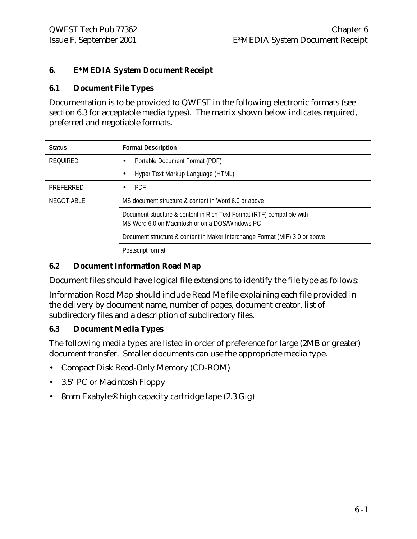# **6. E\*MEDIA System Document Receipt**

#### **6.1 Document File Types**

Documentation is to be provided to QWEST in the following electronic formats (see section 6.3 for acceptable media types). The matrix shown below indicates required, preferred and negotiable formats.

| <b>Status</b>     | <b>Format Description</b>                                                                                                 |
|-------------------|---------------------------------------------------------------------------------------------------------------------------|
| <b>REOUIRED</b>   | Portable Document Format (PDF)                                                                                            |
|                   | Hyper Text Markup Language (HTML)                                                                                         |
| PREFERRED         | <b>PDF</b>                                                                                                                |
| <b>NEGOTIABLE</b> | MS document structure & content in Word 6.0 or above                                                                      |
|                   | Document structure & content in Rich Text Format (RTF) compatible with<br>MS Word 6.0 on Macintosh or on a DOS/Windows PC |
|                   | Document structure & content in Maker Interchange Format (MIF) 3.0 or above                                               |
|                   | Postscript format                                                                                                         |

# **6.2 Document Information Road Map**

Document files should have logical file extensions to identify the file type as follows:

Information Road Map should include Read Me file explaining each file provided in the delivery by document name, number of pages, document creator, list of subdirectory files and a description of subdirectory files.

# **6.3 Document Media Types**

The following media types are listed in order of preference for large (2MB or greater) document transfer. Smaller documents can use the appropriate media type.

- Compact Disk Read-Only Memory (CD-ROM)
- 3.5" PC or Macintosh Floppy
- 8mm Exabyte® high capacity cartridge tape (2.3 Gig)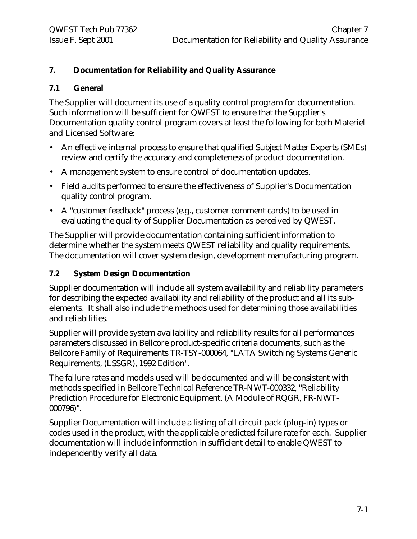# **7. Documentation for Reliability and Quality Assurance**

#### **7.1 General**

The Supplier will document its use of a quality control program for documentation. Such information will be sufficient for QWEST to ensure that the Supplier's Documentation quality control program covers at least the following for both Materiel and Licensed Software:

- An effective internal process to ensure that qualified Subject Matter Experts (SMEs) review and certify the accuracy and completeness of product documentation.
- A management system to ensure control of documentation updates.
- Field audits performed to ensure the effectiveness of Supplier's Documentation quality control program.
- A "customer feedback" process (e.g., customer comment cards) to be used in evaluating the quality of Supplier Documentation as perceived by QWEST.

The Supplier will provide documentation containing sufficient information to determine whether the system meets QWEST reliability and quality requirements. The documentation will cover system design, development manufacturing program.

#### **7.2 System Design Documentation**

Supplier documentation will include all system availability and reliability parameters for describing the expected availability and reliability of the product and all its subelements. It shall also include the methods used for determining those availabilities and reliabilities.

Supplier will provide system availability and reliability results for all performances parameters discussed in Bellcore product-specific criteria documents, such as the Bellcore Family of Requirements TR-TSY-000064, "LATA Switching Systems Generic Requirements, (LSSGR), 1992 Edition".

The failure rates and models used will be documented and will be consistent with methods specified in Bellcore Technical Reference TR-NWT-000332, "Reliability Prediction Procedure for Electronic Equipment, (A Module of RQGR, FR-NWT-000796)".

Supplier Documentation will include a listing of all circuit pack (plug-in) types or codes used in the product, with the applicable predicted failure rate for each. Supplier documentation will include information in sufficient detail to enable QWEST to independently verify all data.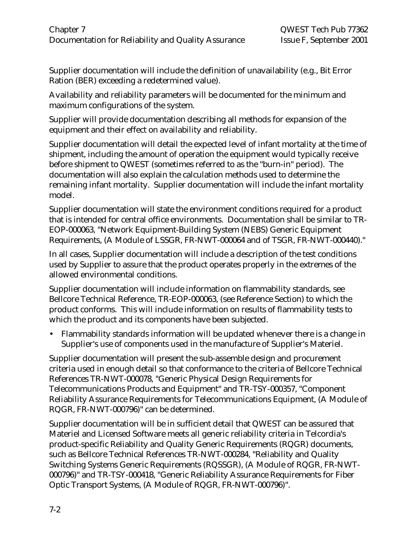Supplier documentation will include the definition of unavailability (e.g., Bit Error Ration (BER) exceeding a redetermined value).

Availability and reliability parameters will be documented for the minimum and maximum configurations of the system.

Supplier will provide documentation describing all methods for expansion of the equipment and their effect on availability and reliability.

Supplier documentation will detail the expected level of infant mortality at the time of shipment, including the amount of operation the equipment would typically receive before shipment to QWEST (sometimes referred to as the "burn-in" period). The documentation will also explain the calculation methods used to determine the remaining infant mortality. Supplier documentation will include the infant mortality model.

Supplier documentation will state the environment conditions required for a product that is intended for central office environments. Documentation shall be similar to TR-EOP-000063, "Network Equipment-Building System (NEBS) Generic Equipment Requirements, (A Module of LSSGR, FR-NWT-000064 and of TSGR, FR-NWT-000440)."

In all cases, Supplier documentation will include a description of the test conditions used by Supplier to assure that the product operates properly in the extremes of the allowed environmental conditions.

Supplier documentation will include information on flammability standards, see Bellcore Technical Reference, TR-EOP-000063, (see Reference Section) to which the product conforms. This will include information on results of flammability tests to which the product and its components have been subjected.

• Flammability standards information will be updated whenever there is a change in Supplier's use of components used in the manufacture of Supplier's Materiel.

Supplier documentation will present the sub-assemble design and procurement criteria used in enough detail so that conformance to the criteria of Bellcore Technical References TR-NWT-000078, "Generic Physical Design Requirements for Telecommunications Products and Equipment" and TR-TSY-000357, "Component Reliability Assurance Requirements for Telecommunications Equipment, (A Module of RQGR, FR-NWT-000796)" can be determined.

Supplier documentation will be in sufficient detail that QWEST can be assured that Materiel and Licensed Software meets all generic reliability criteria in Telcordia's product-specific Reliability and Quality Generic Requirements (RQGR) documents, such as Bellcore Technical References TR-NWT-000284, "Reliability and Quality Switching Systems Generic Requirements (RQSSGR), (A Module of RQGR, FR-NWT-000796)" and TR-TSY-000418, "Generic Reliability Assurance Requirements for Fiber Optic Transport Systems, (A Module of RQGR, FR-NWT-000796)".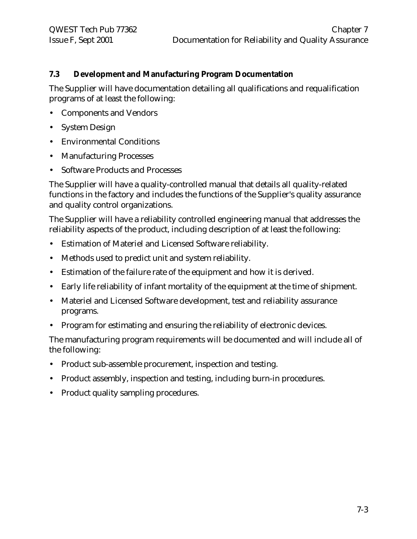# **7.3 Development and Manufacturing Program Documentation**

The Supplier will have documentation detailing all qualifications and requalification programs of at least the following:

- Components and Vendors
- System Design
- Environmental Conditions
- Manufacturing Processes
- Software Products and Processes

The Supplier will have a quality-controlled manual that details all quality-related functions in the factory and includes the functions of the Supplier's quality assurance and quality control organizations.

The Supplier will have a reliability controlled engineering manual that addresses the reliability aspects of the product, including description of at least the following:

- Estimation of Materiel and Licensed Software reliability.
- Methods used to predict unit and system reliability.
- Estimation of the failure rate of the equipment and how it is derived.
- Early life reliability of infant mortality of the equipment at the time of shipment.
- Materiel and Licensed Software development, test and reliability assurance programs.
- Program for estimating and ensuring the reliability of electronic devices.

The manufacturing program requirements will be documented and will include all of the following:

- Product sub-assemble procurement, inspection and testing.
- Product assembly, inspection and testing, including burn-in procedures.
- Product quality sampling procedures.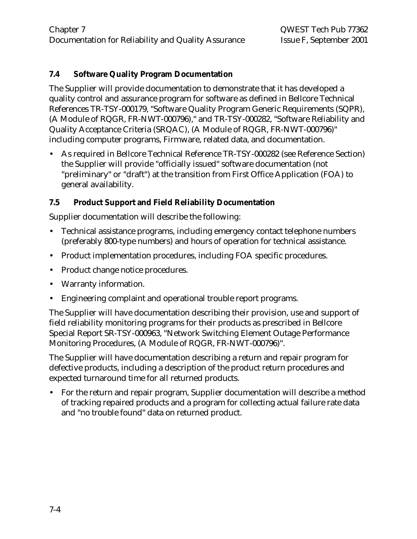# **7.4 Software Quality Program Documentation**

The Supplier will provide documentation to demonstrate that it has developed a quality control and assurance program for software as defined in Bellcore Technical References TR-TSY-000179, "Software Quality Program Generic Requirements (SQPR), (A Module of RQGR, FR-NWT-000796)," and TR-TSY-000282, "Software Reliability and Quality Acceptance Criteria (SRQAC), (A Module of RQGR, FR-NWT-000796)" including computer programs, Firmware, related data, and documentation.

• As required in Bellcore Technical Reference TR-TSY-000282 (see Reference Section) the Supplier will provide "officially issued" software documentation (not "preliminary" or "draft") at the transition from First Office Application (FOA) to general availability.

#### **7.5 Product Support and Field Reliability Documentation**

Supplier documentation will describe the following:

- Technical assistance programs, including emergency contact telephone numbers (preferably 800-type numbers) and hours of operation for technical assistance.
- Product implementation procedures, including FOA specific procedures.
- Product change notice procedures.
- Warranty information.
- Engineering complaint and operational trouble report programs.

The Supplier will have documentation describing their provision, use and support of field reliability monitoring programs for their products as prescribed in Bellcore Special Report SR-TSY-000963, "Network Switching Element Outage Performance Monitoring Procedures, (A Module of RQGR, FR-NWT-000796)".

The Supplier will have documentation describing a return and repair program for defective products, including a description of the product return procedures and expected turnaround time for all returned products.

• For the return and repair program, Supplier documentation will describe a method of tracking repaired products and a program for collecting actual failure rate data and "no trouble found" data on returned product.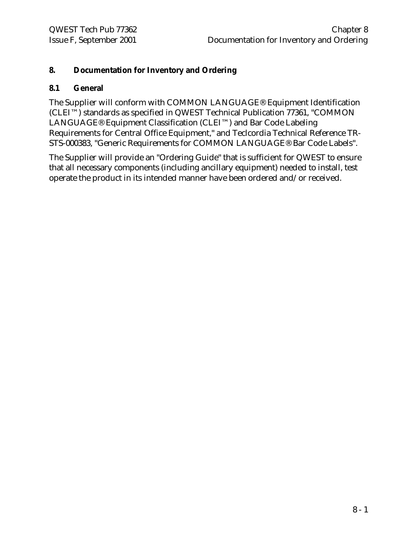# **8. Documentation for Inventory and Ordering**

#### **8.1 General**

The Supplier will conform with COMMON LANGUAGE® Equipment Identification (CLEI™) standards as specified in QWEST Technical Publication 77361, "COMMON LANGUAGE® Equipment Classification (CLEI™) and Bar Code Labeling Requirements for Central Office Equipment," and Teclcordia Technical Reference TR-STS-000383, "Generic Requirements for COMMON LANGUAGE® Bar Code Labels".

The Supplier will provide an "Ordering Guide" that is sufficient for QWEST to ensure that all necessary components (including ancillary equipment) needed to install, test operate the product in its intended manner have been ordered and/or received.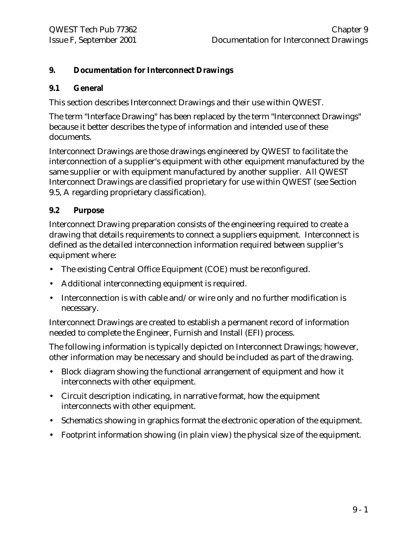# **9. Documentation for Interconnect Drawings**

#### **9.1 General**

This section describes Interconnect Drawings and their use within QWEST.

The term "Interface Drawing" has been replaced by the term "Interconnect Drawings" because it better describes the type of information and intended use of these documents.

Interconnect Drawings are those drawings engineered by QWEST to facilitate the interconnection of a supplier's equipment with other equipment manufactured by the same supplier or with equipment manufactured by another supplier. All QWEST Interconnect Drawings are classified proprietary for use within QWEST (see Section 9.5, A regarding proprietary classification).

# **9.2 Purpose**

Interconnect Drawing preparation consists of the engineering required to create a drawing that details requirements to connect a suppliers equipment. Interconnect is defined as the detailed interconnection information required between supplier's equipment where:

- The existing Central Office Equipment (COE) must be reconfigured.
- Additional interconnecting equipment is required.
- Interconnection is with cable and/or wire only and no further modification is necessary.

Interconnect Drawings are created to establish a permanent record of information needed to complete the Engineer, Furnish and Install (EFI) process.

The following information is typically depicted on Interconnect Drawings; however, other information may be necessary and should be included as part of the drawing.

- Block diagram showing the functional arrangement of equipment and how it interconnects with other equipment.
- Circuit description indicating, in narrative format, how the equipment interconnects with other equipment.
- Schematics showing in graphics format the electronic operation of the equipment.
- Footprint information showing (in plain view) the physical size of the equipment.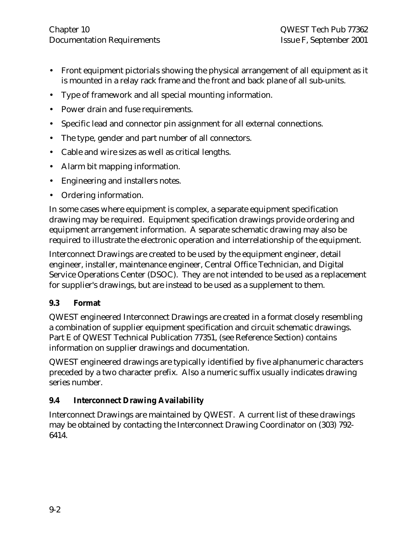- Front equipment pictorials showing the physical arrangement of all equipment as it is mounted in a relay rack frame and the front and back plane of all sub-units.
- Type of framework and all special mounting information.
- Power drain and fuse requirements.
- Specific lead and connector pin assignment for all external connections.
- The type, gender and part number of all connectors.
- Cable and wire sizes as well as critical lengths.
- Alarm bit mapping information.
- Engineering and installers notes.
- Ordering information.

In some cases where equipment is complex, a separate equipment specification drawing may be required. Equipment specification drawings provide ordering and equipment arrangement information. A separate schematic drawing may also be required to illustrate the electronic operation and interrelationship of the equipment.

Interconnect Drawings are created to be used by the equipment engineer, detail engineer, installer, maintenance engineer, Central Office Technician, and Digital Service Operations Center (DSOC). They are not intended to be used as a replacement for supplier's drawings, but are instead to be used as a supplement to them.

# **9.3 Format**

QWEST engineered Interconnect Drawings are created in a format closely resembling a combination of supplier equipment specification and circuit schematic drawings. Part E of QWEST Technical Publication 77351, (see Reference Section) contains information on supplier drawings and documentation.

QWEST engineered drawings are typically identified by five alphanumeric characters preceded by a two character prefix. Also a numeric suffix usually indicates drawing series number.

# **9.4 Interconnect Drawing Availability**

Interconnect Drawings are maintained by QWEST. A current list of these drawings may be obtained by contacting the Interconnect Drawing Coordinator on (303) 792- 6414.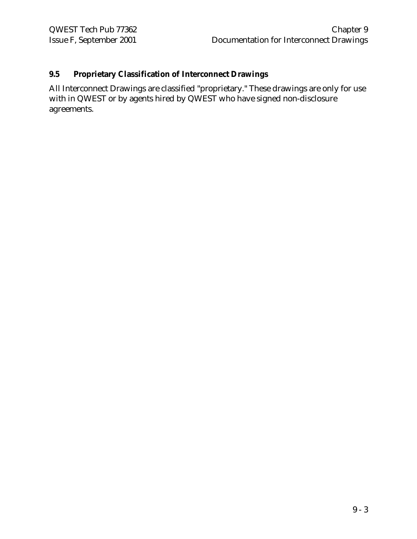# **9.5 Proprietary Classification of Interconnect Drawings**

All Interconnect Drawings are classified "proprietary." These drawings are only for use with in QWEST or by agents hired by QWEST who have signed non-disclosure agreements.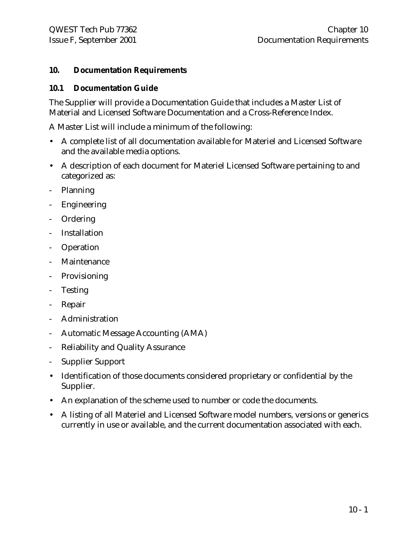#### **10. Documentation Requirements**

#### **10.1 Documentation Guide**

The Supplier will provide a Documentation Guide that includes a Master List of Material and Licensed Software Documentation and a Cross-Reference Index.

A Master List will include a minimum of the following:

- A complete list of all documentation available for Materiel and Licensed Software and the available media options.
- A description of each document for Materiel Licensed Software pertaining to and categorized as:
- Planning
- **Engineering**
- Ordering
- **Installation**
- Operation
- Maintenance
- **Provisioning**
- Testing
- Repair
- Administration
- Automatic Message Accounting (AMA)
- Reliability and Quality Assurance
- Supplier Support
- Identification of those documents considered proprietary or confidential by the Supplier.
- An explanation of the scheme used to number or code the documents.
- A listing of all Materiel and Licensed Software model numbers, versions or generics currently in use or available, and the current documentation associated with each.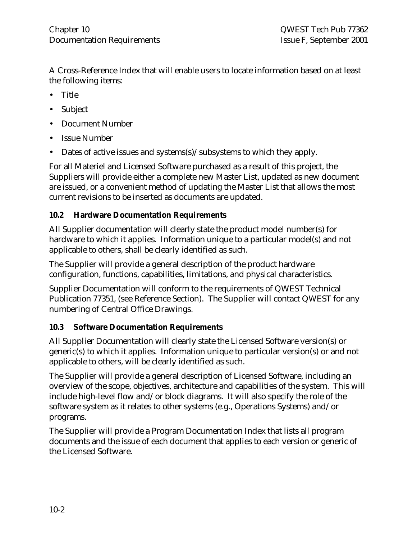A Cross-Reference Index that will enable users to locate information based on at least the following items:

- Title
- Subject
- Document Number
- Issue Number
- Dates of active issues and systems(s)/subsystems to which they apply.

For all Materiel and Licensed Software purchased as a result of this project, the Suppliers will provide either a complete new Master List, updated as new document are issued, or a convenient method of updating the Master List that allows the most current revisions to be inserted as documents are updated.

# **10.2 Hardware Documentation Requirements**

All Supplier documentation will clearly state the product model number(s) for hardware to which it applies. Information unique to a particular model(s) and not applicable to others, shall be clearly identified as such.

The Supplier will provide a general description of the product hardware configuration, functions, capabilities, limitations, and physical characteristics.

Supplier Documentation will conform to the requirements of QWEST Technical Publication 77351, (see Reference Section). The Supplier will contact QWEST for any numbering of Central Office Drawings.

# **10.3 Software Documentation Requirements**

All Supplier Documentation will clearly state the Licensed Software version(s) or generic(s) to which it applies. Information unique to particular version(s) or and not applicable to others, will be clearly identified as such.

The Supplier will provide a general description of Licensed Software, including an overview of the scope, objectives, architecture and capabilities of the system. This will include high-level flow and/or block diagrams. It will also specify the role of the software system as it relates to other systems (e.g., Operations Systems) and/or programs.

The Supplier will provide a Program Documentation Index that lists all program documents and the issue of each document that applies to each version or generic of the Licensed Software.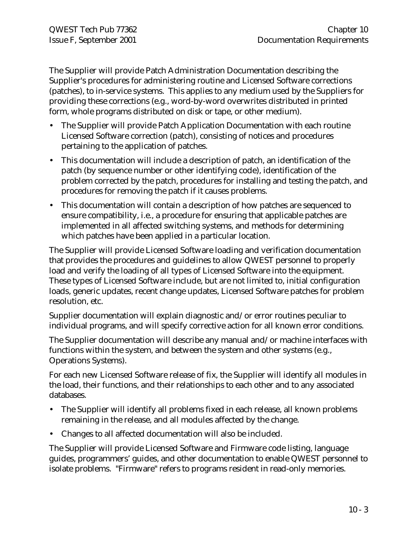The Supplier will provide Patch Administration Documentation describing the Supplier's procedures for administering routine and Licensed Software corrections (patches), to in-service systems. This applies to any medium used by the Suppliers for providing these corrections (e.g., word-by-word overwrites distributed in printed form, whole programs distributed on disk or tape, or other medium).

- The Supplier will provide Patch Application Documentation with each routine Licensed Software correction (patch), consisting of notices and procedures pertaining to the application of patches.
- This documentation will include a description of patch, an identification of the patch (by sequence number or other identifying code), identification of the problem corrected by the patch, procedures for installing and testing the patch, and procedures for removing the patch if it causes problems.
- This documentation will contain a description of how patches are sequenced to ensure compatibility, i.e., a procedure for ensuring that applicable patches are implemented in all affected switching systems, and methods for determining which patches have been applied in a particular location.

The Supplier will provide Licensed Software loading and verification documentation that provides the procedures and guidelines to allow QWEST personnel to properly load and verify the loading of all types of Licensed Software into the equipment. These types of Licensed Software include, but are not limited to, initial configuration loads, generic updates, recent change updates, Licensed Software patches for problem resolution, etc.

Supplier documentation will explain diagnostic and/or error routines peculiar to individual programs, and will specify corrective action for all known error conditions.

The Supplier documentation will describe any manual and/or machine interfaces with functions within the system, and between the system and other systems (e.g., Operations Systems).

For each new Licensed Software release of fix, the Supplier will identify all modules in the load, their functions, and their relationships to each other and to any associated databases.

- The Supplier will identify all problems fixed in each release, all known problems remaining in the release, and all modules affected by the change.
- Changes to all affected documentation will also be included.

The Supplier will provide Licensed Software and Firmware code listing, language guides, programmers' guides, and other documentation to enable QWEST personnel to isolate problems. "Firmware" refers to programs resident in read-only memories.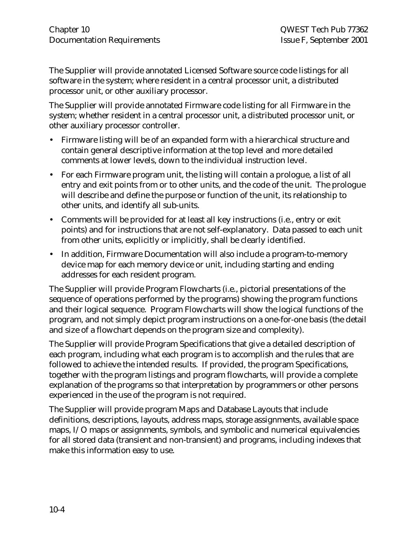The Supplier will provide annotated Licensed Software source code listings for all software in the system; where resident in a central processor unit, a distributed processor unit, or other auxiliary processor.

The Supplier will provide annotated Firmware code listing for all Firmware in the system; whether resident in a central processor unit, a distributed processor unit, or other auxiliary processor controller.

- Firmware listing will be of an expanded form with a hierarchical structure and contain general descriptive information at the top level and more detailed comments at lower levels, down to the individual instruction level.
- For each Firmware program unit, the listing will contain a prologue, a list of all entry and exit points from or to other units, and the code of the unit. The prologue will describe and define the purpose or function of the unit, its relationship to other units, and identify all sub-units.
- Comments will be provided for at least all key instructions (i.e., entry or exit points) and for instructions that are not self-explanatory. Data passed to each unit from other units, explicitly or implicitly, shall be clearly identified.
- In addition, Firmware Documentation will also include a program-to-memory device map for each memory device or unit, including starting and ending addresses for each resident program.

The Supplier will provide Program Flowcharts (i.e., pictorial presentations of the sequence of operations performed by the programs) showing the program functions and their logical sequence. Program Flowcharts will show the logical functions of the program, and not simply depict program instructions on a one-for-one basis (the detail and size of a flowchart depends on the program size and complexity).

The Supplier will provide Program Specifications that give a detailed description of each program, including what each program is to accomplish and the rules that are followed to achieve the intended results. If provided, the program Specifications, together with the program listings and program flowcharts, will provide a complete explanation of the programs so that interpretation by programmers or other persons experienced in the use of the program is not required.

The Supplier will provide program Maps and Database Layouts that include definitions, descriptions, layouts, address maps, storage assignments, available space maps, I/O maps or assignments, symbols, and symbolic and numerical equivalencies for all stored data (transient and non-transient) and programs, including indexes that make this information easy to use.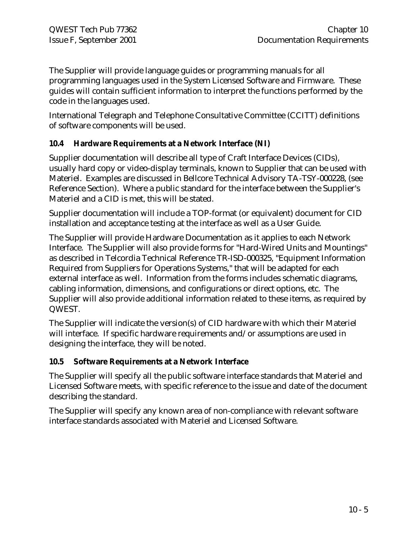The Supplier will provide language guides or programming manuals for all programming languages used in the System Licensed Software and Firmware. These guides will contain sufficient information to interpret the functions performed by the code in the languages used.

International Telegraph and Telephone Consultative Committee (CCITT) definitions of software components will be used.

# **10.4 Hardware Requirements at a Network Interface (NI)**

Supplier documentation will describe all type of Craft Interface Devices (CIDs), usually hard copy or video-display terminals, known to Supplier that can be used with Materiel. Examples are discussed in Bellcore Technical Advisory TA-TSY-000228, (see Reference Section). Where a public standard for the interface between the Supplier's Materiel and a CID is met, this will be stated.

Supplier documentation will include a TOP-format (or equivalent) document for CID installation and acceptance testing at the interface as well as a User Guide.

The Supplier will provide Hardware Documentation as it applies to each Network Interface. The Supplier will also provide forms for "Hard-Wired Units and Mountings" as described in Telcordia Technical Reference TR-ISD-000325, "Equipment Information Required from Suppliers for Operations Systems," that will be adapted for each external interface as well. Information from the forms includes schematic diagrams, cabling information, dimensions, and configurations or direct options, etc. The Supplier will also provide additional information related to these items, as required by QWEST.

The Supplier will indicate the version(s) of CID hardware with which their Materiel will interface. If specific hardware requirements and/or assumptions are used in designing the interface, they will be noted.

#### **10.5 Software Requirements at a Network Interface**

The Supplier will specify all the public software interface standards that Materiel and Licensed Software meets, with specific reference to the issue and date of the document describing the standard.

The Supplier will specify any known area of non-compliance with relevant software interface standards associated with Materiel and Licensed Software.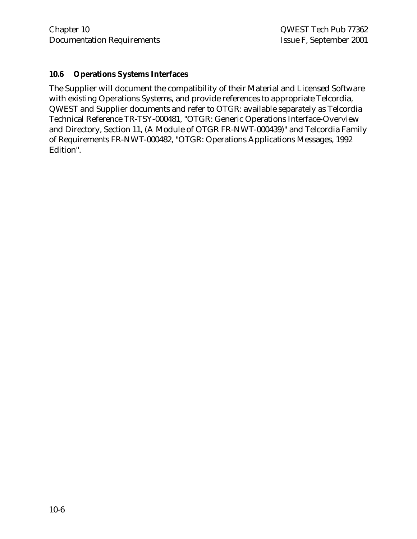#### **10.6 Operations Systems Interfaces**

The Supplier will document the compatibility of their Material and Licensed Software with existing Operations Systems, and provide references to appropriate Telcordia, QWEST and Supplier documents and refer to OTGR: available separately as Telcordia Technical Reference TR-TSY-000481, "OTGR: Generic Operations Interface-Overview and Directory, Section 11, (A Module of OTGR FR-NWT-000439)" and Telcordia Family of Requirements FR-NWT-000482, "OTGR: Operations Applications Messages, 1992 Edition".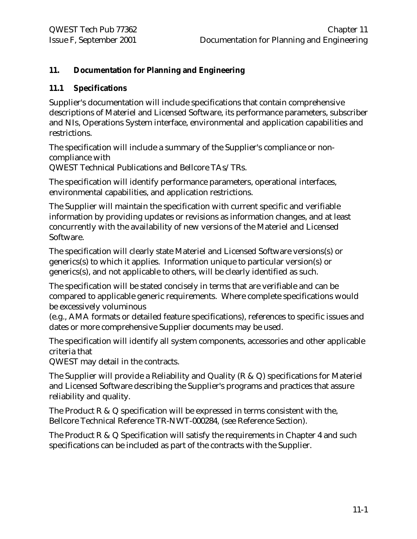# **11. Documentation for Planning and Engineering**

#### **11.1 Specifications**

Supplier's documentation will include specifications that contain comprehensive descriptions of Materiel and Licensed Software, its performance parameters, subscriber and NIs, Operations System interface, environmental and application capabilities and restrictions.

The specification will include a summary of the Supplier's compliance or noncompliance with

QWEST Technical Publications and Bellcore TAs/TRs.

The specification will identify performance parameters, operational interfaces, environmental capabilities, and application restrictions.

The Supplier will maintain the specification with current specific and verifiable information by providing updates or revisions as information changes, and at least concurrently with the availability of new versions of the Materiel and Licensed Software.

The specification will clearly state Materiel and Licensed Software versions(s) or generics(s) to which it applies. Information unique to particular version(s) or generics(s), and not applicable to others, will be clearly identified as such.

The specification will be stated concisely in terms that are verifiable and can be compared to applicable generic requirements. Where complete specifications would be excessively voluminous

(e.g., AMA formats or detailed feature specifications), references to specific issues and dates or more comprehensive Supplier documents may be used.

The specification will identify all system components, accessories and other applicable criteria that

QWEST may detail in the contracts.

The Supplier will provide a Reliability and Quality (R & Q) specifications for Materiel and Licensed Software describing the Supplier's programs and practices that assure reliability and quality.

The Product R & Q specification will be expressed in terms consistent with the, Bellcore Technical Reference TR-NWT-000284, (see Reference Section).

The Product R & Q Specification will satisfy the requirements in Chapter 4 and such specifications can be included as part of the contracts with the Supplier.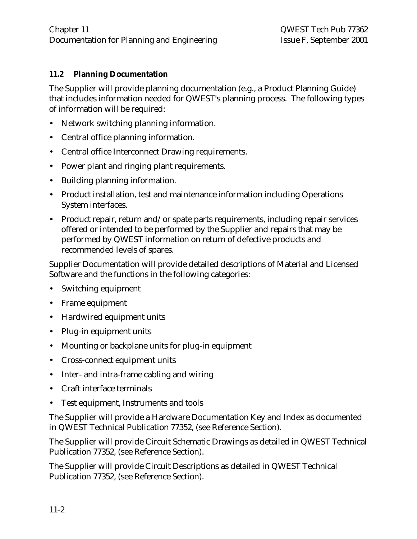# **11.2 Planning Documentation**

The Supplier will provide planning documentation (e.g., a Product Planning Guide) that includes information needed for QWEST's planning process. The following types of information will be required:

- Network switching planning information.
- Central office planning information.
- Central office Interconnect Drawing requirements.
- Power plant and ringing plant requirements.
- Building planning information.
- Product installation, test and maintenance information including Operations System interfaces.
- Product repair, return and/or spate parts requirements, including repair services offered or intended to be performed by the Supplier and repairs that may be performed by QWEST information on return of defective products and recommended levels of spares.

Supplier Documentation will provide detailed descriptions of Material and Licensed Software and the functions in the following categories:

- Switching equipment
- Frame equipment
- Hardwired equipment units
- Plug-in equipment units
- Mounting or backplane units for plug-in equipment
- Cross-connect equipment units
- Inter- and intra-frame cabling and wiring
- Craft interface terminals
- Test equipment, Instruments and tools

The Supplier will provide a Hardware Documentation Key and Index as documented in QWEST Technical Publication 77352, (see Reference Section).

The Supplier will provide Circuit Schematic Drawings as detailed in QWEST Technical Publication 77352, (see Reference Section).

The Supplier will provide Circuit Descriptions as detailed in QWEST Technical Publication 77352, (see Reference Section).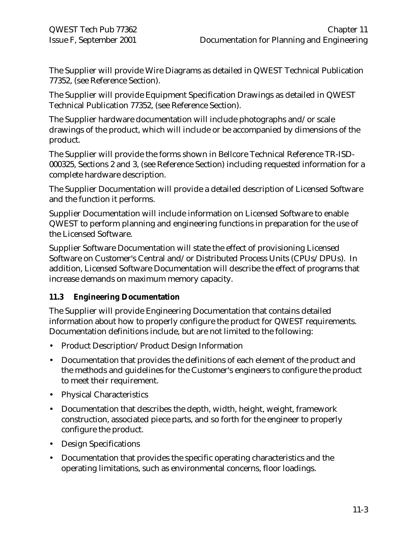The Supplier will provide Wire Diagrams as detailed in QWEST Technical Publication 77352, (see Reference Section).

The Supplier will provide Equipment Specification Drawings as detailed in QWEST Technical Publication 77352, (see Reference Section).

The Supplier hardware documentation will include photographs and/or scale drawings of the product, which will include or be accompanied by dimensions of the product.

The Supplier will provide the forms shown in Bellcore Technical Reference TR-ISD-000325, Sections 2 and 3, (see Reference Section) including requested information for a complete hardware description.

The Supplier Documentation will provide a detailed description of Licensed Software and the function it performs.

Supplier Documentation will include information on Licensed Software to enable QWEST to perform planning and engineering functions in preparation for the use of the Licensed Software.

Supplier Software Documentation will state the effect of provisioning Licensed Software on Customer's Central and/or Distributed Process Units (CPUs/DPUs). In addition, Licensed Software Documentation will describe the effect of programs that increase demands on maximum memory capacity.

# **11.3 Engineering Documentation**

The Supplier will provide Engineering Documentation that contains detailed information about how to properly configure the product for QWEST requirements. Documentation definitions include, but are not limited to the following:

- Product Description/Product Design Information
- Documentation that provides the definitions of each element of the product and the methods and guidelines for the Customer's engineers to configure the product to meet their requirement.
- Physical Characteristics
- Documentation that describes the depth, width, height, weight, framework construction, associated piece parts, and so forth for the engineer to properly configure the product.
- Design Specifications
- Documentation that provides the specific operating characteristics and the operating limitations, such as environmental concerns, floor loadings.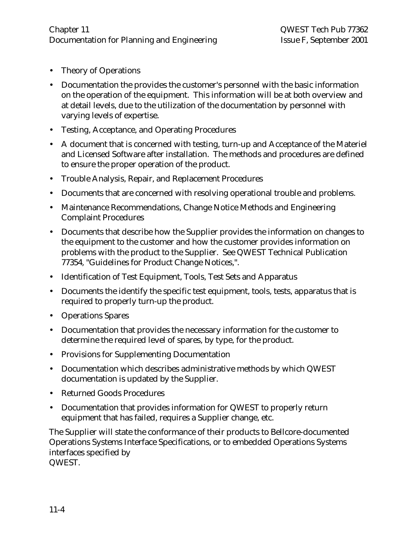- Theory of Operations
- Documentation the provides the customer's personnel with the basic information on the operation of the equipment. This information will be at both overview and at detail levels, due to the utilization of the documentation by personnel with varying levels of expertise.
- Testing, Acceptance, and Operating Procedures
- A document that is concerned with testing, turn-up and Acceptance of the Materiel and Licensed Software after installation. The methods and procedures are defined to ensure the proper operation of the product.
- Trouble Analysis, Repair, and Replacement Procedures
- Documents that are concerned with resolving operational trouble and problems.
- Maintenance Recommendations, Change Notice Methods and Engineering Complaint Procedures
- Documents that describe how the Supplier provides the information on changes to the equipment to the customer and how the customer provides information on problems with the product to the Supplier. See QWEST Technical Publication 77354, "Guidelines for Product Change Notices,".
- Identification of Test Equipment, Tools, Test Sets and Apparatus
- Documents the identify the specific test equipment, tools, tests, apparatus that is required to properly turn-up the product.
- Operations Spares
- Documentation that provides the necessary information for the customer to determine the required level of spares, by type, for the product.
- Provisions for Supplementing Documentation
- Documentation which describes administrative methods by which QWEST documentation is updated by the Supplier.
- Returned Goods Procedures
- Documentation that provides information for QWEST to properly return equipment that has failed, requires a Supplier change, etc.

The Supplier will state the conformance of their products to Bellcore-documented Operations Systems Interface Specifications, or to embedded Operations Systems interfaces specified by QWEST.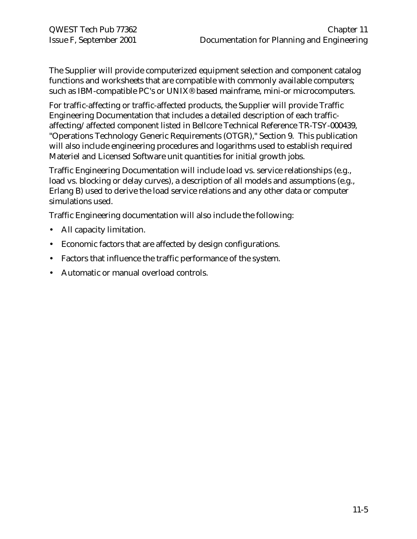The Supplier will provide computerized equipment selection and component catalog functions and worksheets that are compatible with commonly available computers; such as IBM-compatible PC's or UNIX® based mainframe, mini-or microcomputers.

For traffic-affecting or traffic-affected products, the Supplier will provide Traffic Engineering Documentation that includes a detailed description of each trafficaffecting/affected component listed in Bellcore Technical Reference TR-TSY-000439, "Operations Technology Generic Requirements (OTGR)," Section 9. This publication will also include engineering procedures and logarithms used to establish required Materiel and Licensed Software unit quantities for initial growth jobs.

Traffic Engineering Documentation will include load vs. service relationships (e.g., load vs. blocking or delay curves), a description of all models and assumptions (e.g., Erlang B) used to derive the load service relations and any other data or computer simulations used.

Traffic Engineering documentation will also include the following:

- All capacity limitation.
- Economic factors that are affected by design configurations.
- Factors that influence the traffic performance of the system.
- Automatic or manual overload controls.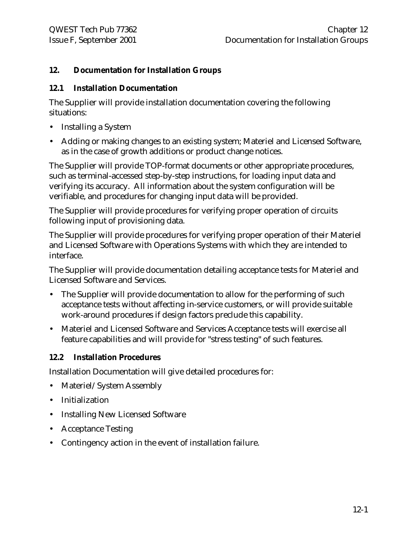# **12. Documentation for Installation Groups**

#### **12.1 Installation Documentation**

The Supplier will provide installation documentation covering the following situations:

- Installing a System
- Adding or making changes to an existing system; Materiel and Licensed Software, as in the case of growth additions or product change notices.

The Supplier will provide TOP-format documents or other appropriate procedures, such as terminal-accessed step-by-step instructions, for loading input data and verifying its accuracy. All information about the system configuration will be verifiable, and procedures for changing input data will be provided.

The Supplier will provide procedures for verifying proper operation of circuits following input of provisioning data.

The Supplier will provide procedures for verifying proper operation of their Materiel and Licensed Software with Operations Systems with which they are intended to interface.

The Supplier will provide documentation detailing acceptance tests for Materiel and Licensed Software and Services.

- The Supplier will provide documentation to allow for the performing of such acceptance tests without affecting in-service customers, or will provide suitable work-around procedures if design factors preclude this capability.
- Materiel and Licensed Software and Services Acceptance tests will exercise all feature capabilities and will provide for "stress testing" of such features.

#### **12.2 Installation Procedures**

Installation Documentation will give detailed procedures for:

- Materiel/System Assembly
- Initialization
- Installing New Licensed Software
- Acceptance Testing
- Contingency action in the event of installation failure.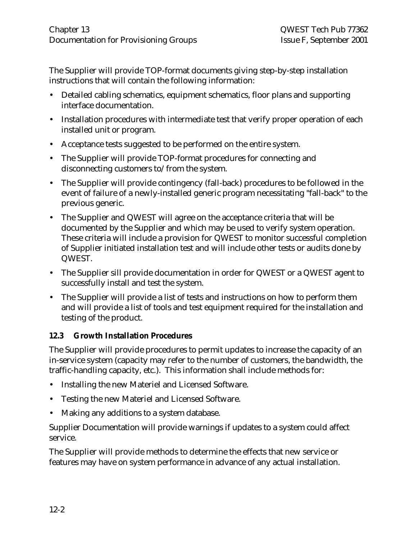The Supplier will provide TOP-format documents giving step-by-step installation instructions that will contain the following information:

- Detailed cabling schematics, equipment schematics, floor plans and supporting interface documentation.
- Installation procedures with intermediate test that verify proper operation of each installed unit or program.
- Acceptance tests suggested to be performed on the entire system.
- The Supplier will provide TOP-format procedures for connecting and disconnecting customers to/from the system.
- The Supplier will provide contingency (fall-back) procedures to be followed in the event of failure of a newly-installed generic program necessitating "fall-back" to the previous generic.
- The Supplier and QWEST will agree on the acceptance criteria that will be documented by the Supplier and which may be used to verify system operation. These criteria will include a provision for QWEST to monitor successful completion of Supplier initiated installation test and will include other tests or audits done by QWEST.
- The Supplier sill provide documentation in order for QWEST or a QWEST agent to successfully install and test the system.
- The Supplier will provide a list of tests and instructions on how to perform them and will provide a list of tools and test equipment required for the installation and testing of the product.

# **12.3 Growth Installation Procedures**

The Supplier will provide procedures to permit updates to increase the capacity of an in-service system (capacity may refer to the number of customers, the bandwidth, the traffic-handling capacity, etc.). This information shall include methods for:

- Installing the new Materiel and Licensed Software.
- Testing the new Materiel and Licensed Software.
- Making any additions to a system database.

Supplier Documentation will provide warnings if updates to a system could affect service.

The Supplier will provide methods to determine the effects that new service or features may have on system performance in advance of any actual installation.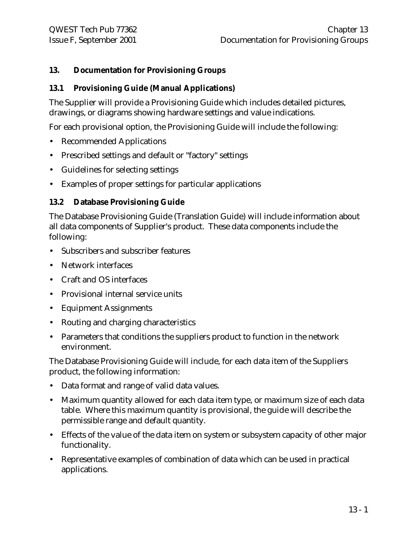# **13. Documentation for Provisioning Groups**

# **13.1 Provisioning Guide (Manual Applications)**

The Supplier will provide a Provisioning Guide which includes detailed pictures, drawings, or diagrams showing hardware settings and value indications.

For each provisional option, the Provisioning Guide will include the following:

- Recommended Applications
- Prescribed settings and default or "factory" settings
- Guidelines for selecting settings
- Examples of proper settings for particular applications

#### **13.2 Database Provisioning Guide**

The Database Provisioning Guide (Translation Guide) will include information about all data components of Supplier's product. These data components include the following:

- Subscribers and subscriber features
- Network interfaces
- Craft and OS interfaces
- Provisional internal service units
- Equipment Assignments
- Routing and charging characteristics
- Parameters that conditions the suppliers product to function in the network environment.

The Database Provisioning Guide will include, for each data item of the Suppliers product, the following information:

- Data format and range of valid data values.
- Maximum quantity allowed for each data item type, or maximum size of each data table. Where this maximum quantity is provisional, the guide will describe the permissible range and default quantity.
- Effects of the value of the data item on system or subsystem capacity of other major functionality.
- Representative examples of combination of data which can be used in practical applications.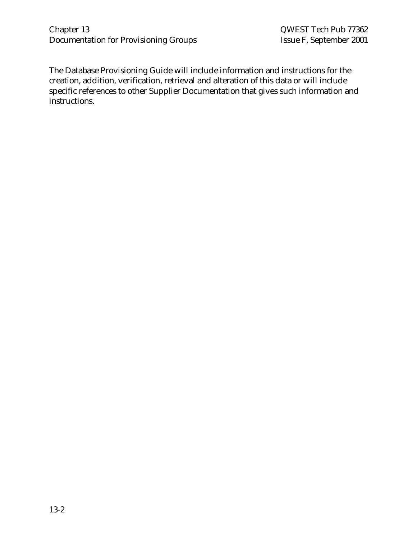The Database Provisioning Guide will include information and instructions for the creation, addition, verification, retrieval and alteration of this data or will include specific references to other Supplier Documentation that gives such information and instructions.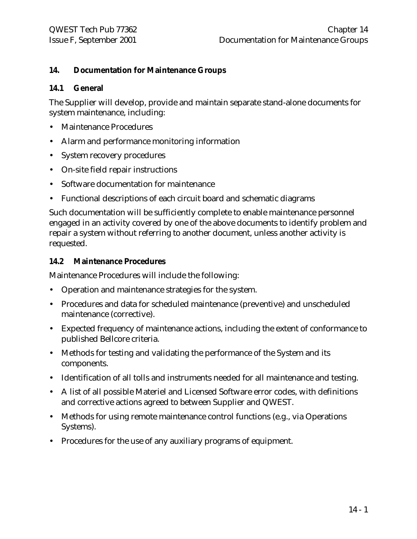#### **14. Documentation for Maintenance Groups**

#### **14.1 General**

The Supplier will develop, provide and maintain separate stand-alone documents for system maintenance, including:

- Maintenance Procedures
- Alarm and performance monitoring information
- System recovery procedures
- On-site field repair instructions
- Software documentation for maintenance
- Functional descriptions of each circuit board and schematic diagrams

Such documentation will be sufficiently complete to enable maintenance personnel engaged in an activity covered by one of the above documents to identify problem and repair a system without referring to another document, unless another activity is requested.

#### **14.2 Maintenance Procedures**

Maintenance Procedures will include the following:

- Operation and maintenance strategies for the system.
- Procedures and data for scheduled maintenance (preventive) and unscheduled maintenance (corrective).
- Expected frequency of maintenance actions, including the extent of conformance to published Bellcore criteria.
- Methods for testing and validating the performance of the System and its components.
- Identification of all tolls and instruments needed for all maintenance and testing.
- A list of all possible Materiel and Licensed Software error codes, with definitions and corrective actions agreed to between Supplier and QWEST.
- Methods for using remote maintenance control functions (e.g., via Operations Systems).
- Procedures for the use of any auxiliary programs of equipment.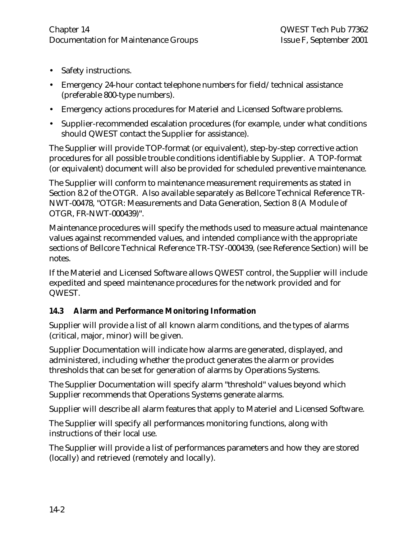- Safety instructions.
- Emergency 24-hour contact telephone numbers for field/technical assistance (preferable 800-type numbers).
- Emergency actions procedures for Materiel and Licensed Software problems.
- Supplier-recommended escalation procedures (for example, under what conditions should QWEST contact the Supplier for assistance).

The Supplier will provide TOP-format (or equivalent), step-by-step corrective action procedures for all possible trouble conditions identifiable by Supplier. A TOP-format (or equivalent) document will also be provided for scheduled preventive maintenance.

The Supplier will conform to maintenance measurement requirements as stated in Section 8.2 of the OTGR. Also available separately as Bellcore Technical Reference TR-NWT-00478, "OTGR: Measurements and Data Generation, Section 8 (A Module of OTGR, FR-NWT-000439)".

Maintenance procedures will specify the methods used to measure actual maintenance values against recommended values, and intended compliance with the appropriate sections of Bellcore Technical Reference TR-TSY-000439, (see Reference Section) will be notes.

If the Materiel and Licensed Software allows QWEST control, the Supplier will include expedited and speed maintenance procedures for the network provided and for QWEST.

# **14.3 Alarm and Performance Monitoring Information**

Supplier will provide a list of all known alarm conditions, and the types of alarms (critical, major, minor) will be given.

Supplier Documentation will indicate how alarms are generated, displayed, and administered, including whether the product generates the alarm or provides thresholds that can be set for generation of alarms by Operations Systems.

The Supplier Documentation will specify alarm "threshold" values beyond which Supplier recommends that Operations Systems generate alarms.

Supplier will describe all alarm features that apply to Materiel and Licensed Software.

The Supplier will specify all performances monitoring functions, along with instructions of their local use.

The Supplier will provide a list of performances parameters and how they are stored (locally) and retrieved (remotely and locally).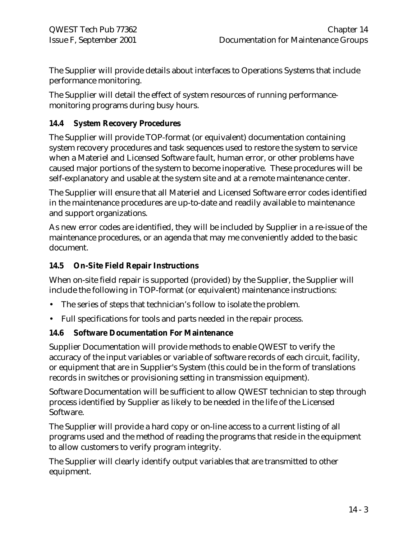The Supplier will provide details about interfaces to Operations Systems that include performance monitoring.

The Supplier will detail the effect of system resources of running performancemonitoring programs during busy hours.

# **14.4 System Recovery Procedures**

The Supplier will provide TOP-format (or equivalent) documentation containing system recovery procedures and task sequences used to restore the system to service when a Materiel and Licensed Software fault, human error, or other problems have caused major portions of the system to become inoperative. These procedures will be self-explanatory and usable at the system site and at a remote maintenance center.

The Supplier will ensure that all Materiel and Licensed Software error codes identified in the maintenance procedures are up-to-date and readily available to maintenance and support organizations.

As new error codes are identified, they will be included by Supplier in a re-issue of the maintenance procedures, or an agenda that may me conveniently added to the basic document.

# **14.5 On-Site Field Repair Instructions**

When on-site field repair is supported (provided) by the Supplier, the Supplier will include the following in TOP-format (or equivalent) maintenance instructions:

- The series of steps that technician's follow to isolate the problem.
- Full specifications for tools and parts needed in the repair process.

#### **14.6 Software Documentation For Maintenance**

Supplier Documentation will provide methods to enable QWEST to verify the accuracy of the input variables or variable of software records of each circuit, facility, or equipment that are in Supplier's System (this could be in the form of translations records in switches or provisioning setting in transmission equipment).

Software Documentation will be sufficient to allow QWEST technician to step through process identified by Supplier as likely to be needed in the life of the Licensed Software.

The Supplier will provide a hard copy or on-line access to a current listing of all programs used and the method of reading the programs that reside in the equipment to allow customers to verify program integrity.

The Supplier will clearly identify output variables that are transmitted to other equipment.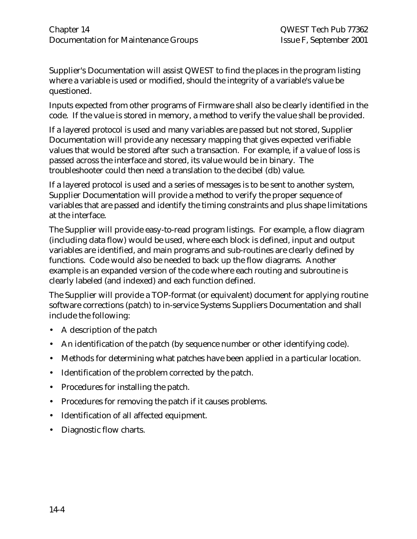Supplier's Documentation will assist QWEST to find the places in the program listing where a variable is used or modified, should the integrity of a variable's value be questioned.

Inputs expected from other programs of Firmware shall also be clearly identified in the code. If the value is stored in memory, a method to verify the value shall be provided.

If a layered protocol is used and many variables are passed but not stored, Supplier Documentation will provide any necessary mapping that gives expected verifiable values that would be stored after such a transaction. For example, if a value of loss is passed across the interface and stored, its value would be in binary. The troubleshooter could then need a translation to the decibel (db) value.

If a layered protocol is used and a series of messages is to be sent to another system, Supplier Documentation will provide a method to verify the proper sequence of variables that are passed and identify the timing constraints and plus shape limitations at the interface.

The Supplier will provide easy-to-read program listings. For example, a flow diagram (including data flow) would be used, where each block is defined, input and output variables are identified, and main programs and sub-routines are clearly defined by functions. Code would also be needed to back up the flow diagrams. Another example is an expanded version of the code where each routing and subroutine is clearly labeled (and indexed) and each function defined.

The Supplier will provide a TOP-format (or equivalent) document for applying routine software corrections (patch) to in-service Systems Suppliers Documentation and shall include the following:

- A description of the patch
- An identification of the patch (by sequence number or other identifying code).
- Methods for determining what patches have been applied in a particular location.
- Identification of the problem corrected by the patch.
- Procedures for installing the patch.
- Procedures for removing the patch if it causes problems.
- Identification of all affected equipment.
- Diagnostic flow charts.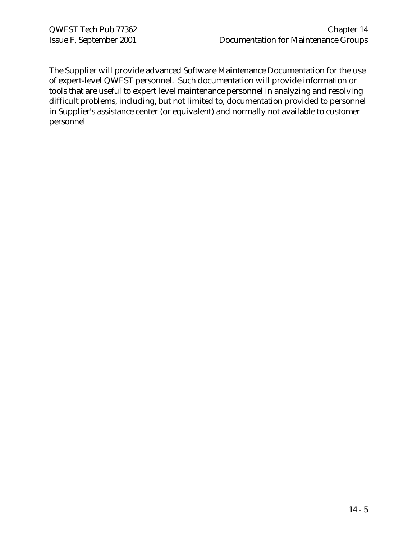The Supplier will provide advanced Software Maintenance Documentation for the use of expert-level QWEST personnel. Such documentation will provide information or tools that are useful to expert level maintenance personnel in analyzing and resolving difficult problems, including, but not limited to, documentation provided to personnel in Supplier's assistance center (or equivalent) and normally not available to customer personnel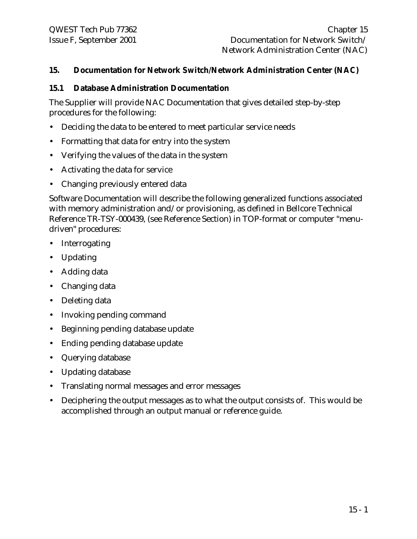#### **15. Documentation for Network Switch/Network Administration Center (NAC)**

#### **15.1 Database Administration Documentation**

The Supplier will provide NAC Documentation that gives detailed step-by-step procedures for the following:

- Deciding the data to be entered to meet particular service needs
- Formatting that data for entry into the system
- Verifying the values of the data in the system
- Activating the data for service
- Changing previously entered data

Software Documentation will describe the following generalized functions associated with memory administration and/or provisioning, as defined in Bellcore Technical Reference TR-TSY-000439, (see Reference Section) in TOP-format or computer "menudriven" procedures:

- Interrogating
- Updating
- Adding data
- Changing data
- Deleting data
- Invoking pending command
- Beginning pending database update
- Ending pending database update
- Querying database
- Updating database
- Translating normal messages and error messages
- Deciphering the output messages as to what the output consists of. This would be accomplished through an output manual or reference guide.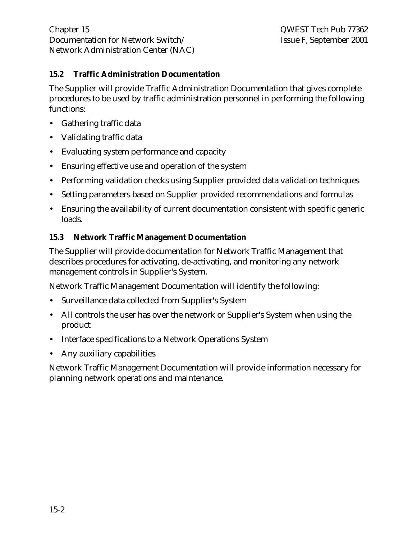# **15.2 Traffic Administration Documentation**

The Supplier will provide Traffic Administration Documentation that gives complete procedures to be used by traffic administration personnel in performing the following functions:

- Gathering traffic data
- Validating traffic data
- Evaluating system performance and capacity
- Ensuring effective use and operation of the system
- Performing validation checks using Supplier provided data validation techniques
- Setting parameters based on Supplier provided recommendations and formulas
- Ensuring the availability of current documentation consistent with specific generic loads.

# **15.3 Network Traffic Management Documentation**

The Supplier will provide documentation for Network Traffic Management that describes procedures for activating, de-activating, and monitoring any network management controls in Supplier's System.

Network Traffic Management Documentation will identify the following:

- Surveillance data collected from Supplier's System
- All controls the user has over the network or Supplier's System when using the product
- Interface specifications to a Network Operations System
- Any auxiliary capabilities

Network Traffic Management Documentation will provide information necessary for planning network operations and maintenance.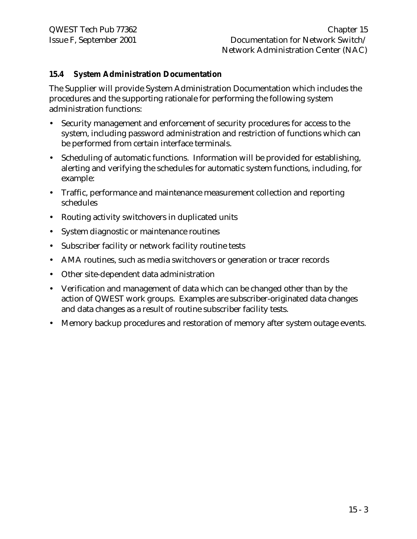#### **15.4 System Administration Documentation**

The Supplier will provide System Administration Documentation which includes the procedures and the supporting rationale for performing the following system administration functions:

- Security management and enforcement of security procedures for access to the system, including password administration and restriction of functions which can be performed from certain interface terminals.
- Scheduling of automatic functions. Information will be provided for establishing, alerting and verifying the schedules for automatic system functions, including, for example:
- Traffic, performance and maintenance measurement collection and reporting schedules
- Routing activity switchovers in duplicated units
- System diagnostic or maintenance routines
- Subscriber facility or network facility routine tests
- AMA routines, such as media switchovers or generation or tracer records
- Other site-dependent data administration
- Verification and management of data which can be changed other than by the action of QWEST work groups. Examples are subscriber-originated data changes and data changes as a result of routine subscriber facility tests.
- Memory backup procedures and restoration of memory after system outage events.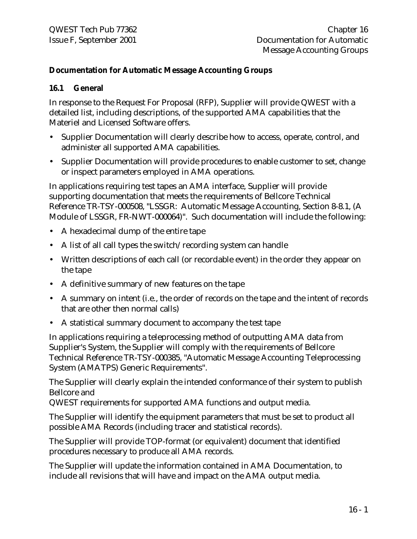#### **Documentation for Automatic Message Accounting Groups**

#### **16.1 General**

In response to the Request For Proposal (RFP), Supplier will provide QWEST with a detailed list, including descriptions, of the supported AMA capabilities that the Materiel and Licensed Software offers.

- Supplier Documentation will clearly describe how to access, operate, control, and administer all supported AMA capabilities.
- Supplier Documentation will provide procedures to enable customer to set, change or inspect parameters employed in AMA operations.

In applications requiring test tapes an AMA interface, Supplier will provide supporting documentation that meets the requirements of Bellcore Technical Reference TR-TSY-000508, "LSSGR: Automatic Message Accounting, Section 8-8.1, (A Module of LSSGR, FR-NWT-000064)". Such documentation will include the following:

- A hexadecimal dump of the entire tape
- A list of all call types the switch/recording system can handle
- Written descriptions of each call (or recordable event) in the order they appear on the tape
- A definitive summary of new features on the tape
- A summary on intent (i.e., the order of records on the tape and the intent of records that are other then normal calls)
- A statistical summary document to accompany the test tape

In applications requiring a teleprocessing method of outputting AMA data from Supplier's System, the Supplier will comply with the requirements of Bellcore Technical Reference TR-TSY-000385, "Automatic Message Accounting Teleprocessing System (AMATPS) Generic Requirements".

The Supplier will clearly explain the intended conformance of their system to publish Bellcore and

QWEST requirements for supported AMA functions and output media.

The Supplier will identify the equipment parameters that must be set to product all possible AMA Records (including tracer and statistical records).

The Supplier will provide TOP-format (or equivalent) document that identified procedures necessary to produce all AMA records.

The Supplier will update the information contained in AMA Documentation, to include all revisions that will have and impact on the AMA output media.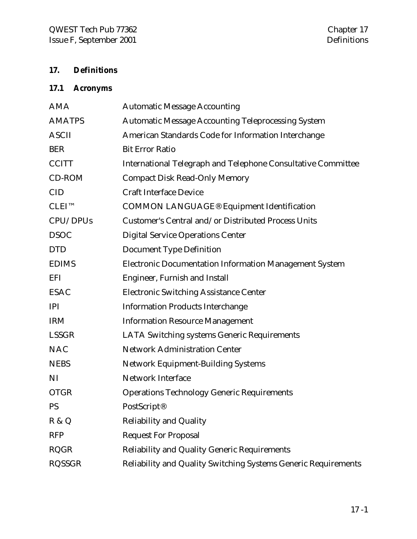# **17. Definitions**

# **17.1 Acronyms**

| <b>AMA</b>    | <b>Automatic Message Accounting</b>                            |
|---------------|----------------------------------------------------------------|
| <b>AMATPS</b> | <b>Automatic Message Accounting Teleprocessing System</b>      |
| <b>ASCII</b>  | American Standards Code for Information Interchange            |
| <b>BER</b>    | <b>Bit Error Ratio</b>                                         |
| <b>CCITT</b>  | International Telegraph and Telephone Consultative Committee   |
| CD-ROM        | <b>Compact Disk Read-Only Memory</b>                           |
| <b>CID</b>    | <b>Craft Interface Device</b>                                  |
| $CLEI^{TM}$   | <b>COMMON LANGUAGE® Equipment Identification</b>               |
| CPU/DPUs      | Customer's Central and/or Distributed Process Units            |
| <b>DSOC</b>   | <b>Digital Service Operations Center</b>                       |
| <b>DTD</b>    | <b>Document Type Definition</b>                                |
| <b>EDIMS</b>  | <b>Electronic Documentation Information Management System</b>  |
| EFI           | Engineer, Furnish and Install                                  |
| <b>ESAC</b>   | <b>Electronic Switching Assistance Center</b>                  |
| <b>IPI</b>    | <b>Information Products Interchange</b>                        |
| <b>IRM</b>    | <b>Information Resource Management</b>                         |
| <b>LSSGR</b>  | <b>LATA Switching systems Generic Requirements</b>             |
| <b>NAC</b>    | <b>Network Administration Center</b>                           |
| <b>NEBS</b>   | Network Equipment-Building Systems                             |
| NI            | <b>Network Interface</b>                                       |
| <b>OTGR</b>   | <b>Operations Technology Generic Requirements</b>              |
| <b>PS</b>     | PostScript <sup>®</sup>                                        |
| R & Q         | <b>Reliability and Quality</b>                                 |
| <b>RFP</b>    | <b>Request For Proposal</b>                                    |
| <b>RQGR</b>   | <b>Reliability and Quality Generic Requirements</b>            |
| <b>RQSSGR</b> | Reliability and Quality Switching Systems Generic Requirements |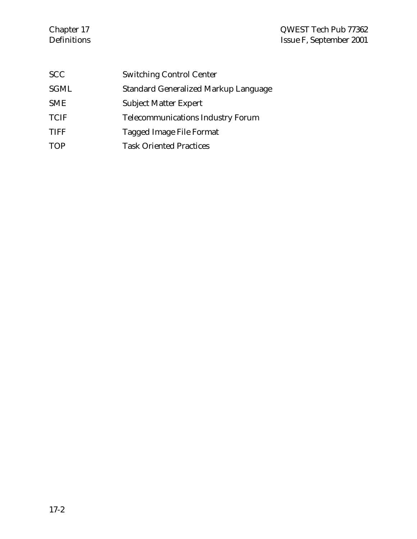# Chapter 17 QWEST Tech Pub 77362 Definitions Issue F, September 2001

| <b>SCC</b>  | <b>Switching Control Center</b>          |
|-------------|------------------------------------------|
| <b>SGML</b> | Standard Generalized Markup Language     |
| <b>SME</b>  | <b>Subject Matter Expert</b>             |
| <b>TCIF</b> | <b>Telecommunications Industry Forum</b> |
| TIFF        | Tagged Image File Format                 |
| TOP         | <b>Task Oriented Practices</b>           |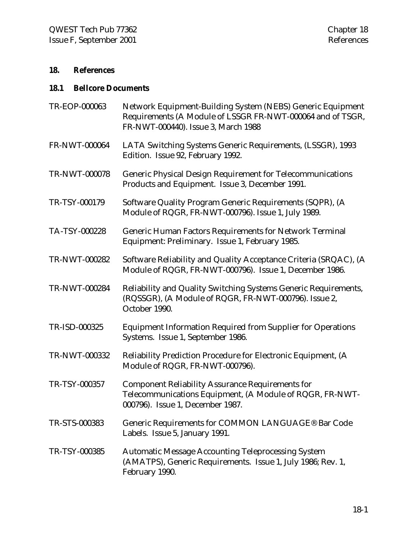# **18. References**

# **18.1 Bellcore Documents**

| TR-EOP-000063 | Network Equipment-Building System (NEBS) Generic Equipment<br>Requirements (A Module of LSSGR FR-NWT-000064 and of TSGR,<br>FR-NWT-000440). Issue 3, March 1988 |
|---------------|-----------------------------------------------------------------------------------------------------------------------------------------------------------------|
| FR-NWT-000064 | LATA Switching Systems Generic Requirements, (LSSGR), 1993<br>Edition. Issue 92, February 1992.                                                                 |
| TR-NWT-000078 | <b>Generic Physical Design Requirement for Telecommunications</b><br>Products and Equipment. Issue 3, December 1991.                                            |
| TR-TSY-000179 | Software Quality Program Generic Requirements (SQPR), (A<br>Module of RQGR, FR-NWT-000796). Issue 1, July 1989.                                                 |
| TA-TSY-000228 | <b>Generic Human Factors Requirements for Network Terminal</b><br>Equipment: Preliminary. Issue 1, February 1985.                                               |
| TR-NWT-000282 | Software Reliability and Quality Acceptance Criteria (SRQAC), (A<br>Module of RQGR, FR-NWT-000796). Issue 1, December 1986.                                     |
| TR-NWT-000284 | Reliability and Quality Switching Systems Generic Requirements,<br>(RQSSGR), (A Module of RQGR, FR-NWT-000796). Issue 2,<br>October 1990.                       |
| TR-ISD-000325 | <b>Equipment Information Required from Supplier for Operations</b><br>Systems. Issue 1, September 1986.                                                         |
| TR-NWT-000332 | Reliability Prediction Procedure for Electronic Equipment, (A<br>Module of RQGR, FR-NWT-000796).                                                                |
| TR-TSY-000357 | <b>Component Reliability Assurance Requirements for</b><br>Telecommunications Equipment, (A Module of RQGR, FR-NWT-<br>000796). Issue 1, December 1987.         |
| TR-STS-000383 | Generic Requirements for COMMON LANGUAGE® Bar Code<br>Labels. Issue 5, January 1991.                                                                            |
| TR-TSY-000385 | <b>Automatic Message Accounting Teleprocessing System</b><br>(AMATPS), Generic Requirements. Issue 1, July 1986; Rev. 1,<br>February 1990.                      |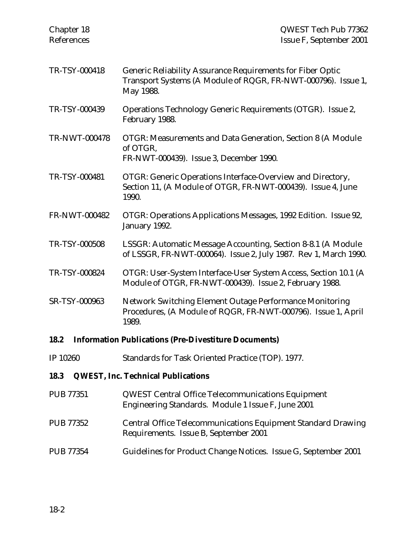| Chapter 18<br>References | QWEST Tech Pub 77362<br>Issue F, September 2001                                                                                          |
|--------------------------|------------------------------------------------------------------------------------------------------------------------------------------|
| TR-TSY-000418            | Generic Reliability Assurance Requirements for Fiber Optic<br>Transport Systems (A Module of RQGR, FR-NWT-000796). Issue 1,<br>May 1988. |
| TR-TSY-000439            | Operations Technology Generic Requirements (OTGR). Issue 2,<br>February 1988.                                                            |
| TR-NWT-000478            | OTGR: Measurements and Data Generation, Section 8 (A Module<br>of OTGR,<br>FR-NWT-000439). Issue 3, December 1990.                       |
| TR-TSY-000481            | OTGR: Generic Operations Interface-Overview and Directory,<br>Section 11, (A Module of OTGR, FR-NWT-000439). Issue 4, June<br>1990.      |
| <b>FR-NWT-000482</b>     | OTGR: Operations Applications Messages, 1992 Edition. Issue 92,<br>January 1992.                                                         |
| TR-TSY-000508            | LSSGR: Automatic Message Accounting, Section 8-8.1 (A Module<br>of LSSGR, FR-NWT-000064). Issue 2, July 1987. Rev 1, March 1990.         |
| TR-TSY-000824            | OTGR: User-System Interface-User System Access, Section 10.1 (A<br>Module of OTGR, FR-NWT-000439). Issue 2, February 1988.               |
| SR-TSY-000963            | Network Switching Element Outage Performance Monitoring<br>Procedures, (A Module of RQGR, FR-NWT-000796). Issue 1, April<br>1989.        |
| 18.2                     | <b>Information Publications (Pre-Divestiture Documents)</b>                                                                              |
| IP 10260                 | Standards for Task Oriented Practice (TOP). 1977.                                                                                        |
| 18.3                     | <b>QWEST, Inc. Technical Publications</b>                                                                                                |
| <b>PUB 77351</b>         | <b>QWEST Central Office Telecommunications Equipment</b><br>Engineering Standards. Module 1 Issue F, June 2001                           |
| <b>PUB 77352</b>         | Central Office Telecommunications Equipment Standard Drawing<br>Requirements. Issue B, September 2001                                    |
| <b>PUB 77354</b>         | Guidelines for Product Change Notices. Issue G, September 2001                                                                           |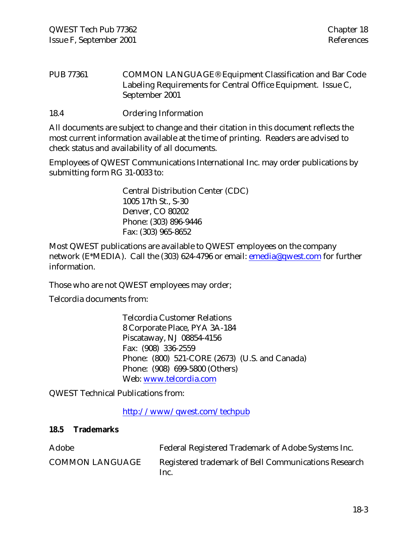PUB 77361 COMMON LANGUAGE® Equipment Classification and Bar Code Labeling Requirements for Central Office Equipment. Issue C, September 2001

18.4 Ordering Information

All documents are subject to change and their citation in this document reflects the most current information available at the time of printing. Readers are advised to check status and availability of all documents.

Employees of QWEST Communications International Inc. may order publications by submitting form RG 31-0033 to:

> Central Distribution Center (CDC) 1005 17th St., S-30 Denver, CO 80202 Phone: (303) 896-9446 Fax: (303) 965-8652

Most QWEST publications are available to QWEST employees on the company network (E\*MEDIA). Call the (303) 624-4796 or email: emedia@qwest.com for further information.

Those who are not QWEST employees may order;

Telcordia documents from:

Telcordia Customer Relations 8 Corporate Place, PYA 3A-184 Piscataway, NJ 08854-4156 Fax: (908) 336-2559 Phone: (800) 521-CORE (2673) (U.S. and Canada) Phone: (908) 699-5800 (Others) Web: www.telcordia.com

QWEST Technical Publications from:

http://www/qwest.com/techpub

#### **18.5 Trademarks**

| Adobe                  | Federal Registered Trademark of Adobe Systems Inc.           |
|------------------------|--------------------------------------------------------------|
| <b>COMMON LANGUAGE</b> | Registered trademark of Bell Communications Research<br>Inc. |